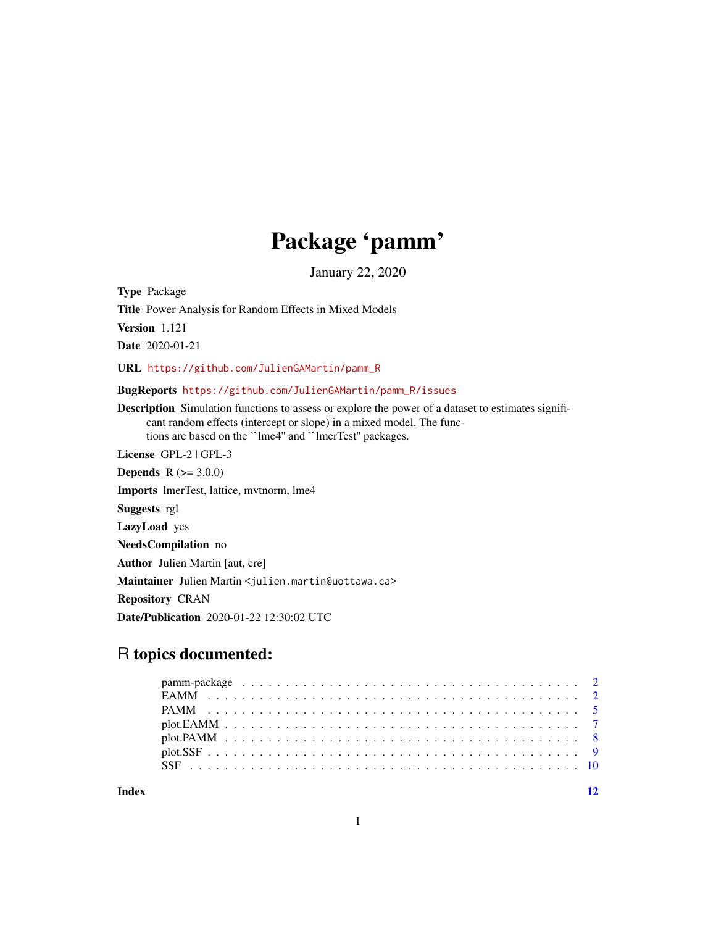# Package 'pamm'

January 22, 2020

<span id="page-0-0"></span>Type Package

Title Power Analysis for Random Effects in Mixed Models

Version 1.121

Date 2020-01-21

URL [https://github.com/JulienGAMartin/pamm\\_R](https://github.com/JulienGAMartin/pamm_R)

BugReports [https://github.com/JulienGAMartin/pamm\\_R/issues](https://github.com/JulienGAMartin/pamm_R/issues)

Description Simulation functions to assess or explore the power of a dataset to estimates significant random effects (intercept or slope) in a mixed model. The functions are based on the ``lme4'' and ``lmerTest'' packages.

License GPL-2 | GPL-3

**Depends**  $R (= 3.0.0)$ 

Imports lmerTest, lattice, mvtnorm, lme4

Suggests rgl

LazyLoad yes

NeedsCompilation no

Author Julien Martin [aut, cre]

Maintainer Julien Martin <julien.martin@uottawa.ca>

Repository CRAN

Date/Publication 2020-01-22 12:30:02 UTC

# R topics documented:

**Index** [12](#page-11-0)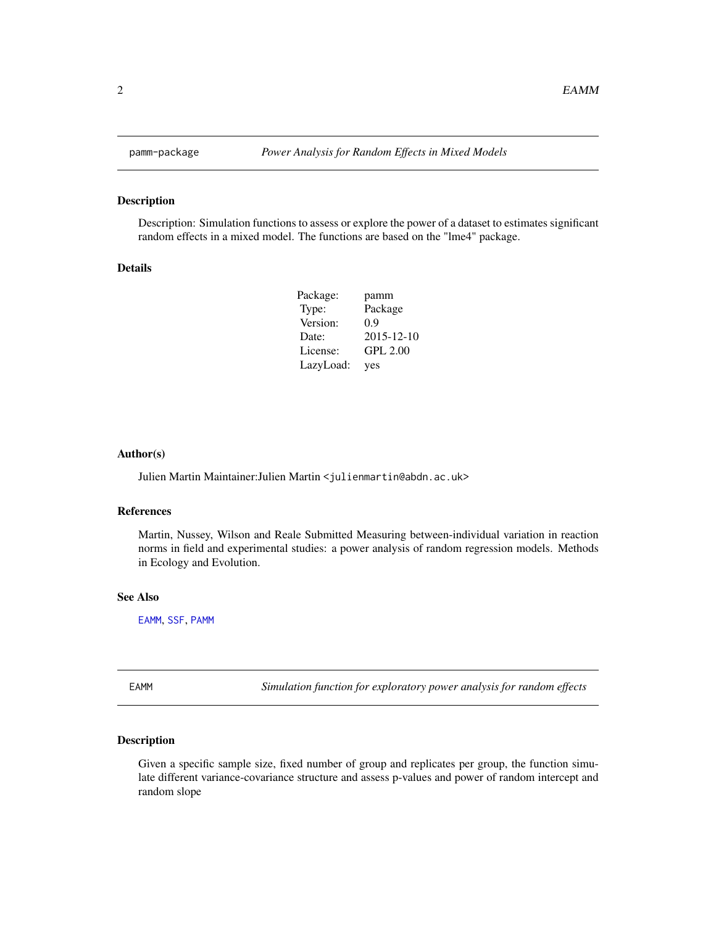Description: Simulation functions to assess or explore the power of a dataset to estimates significant random effects in a mixed model. The functions are based on the "lme4" package.

#### Details

| Package:  | pamm             |
|-----------|------------------|
| Type:     | Package          |
| Version:  | 0.9              |
| Date:     | $2015 - 12 - 10$ |
| License:  | <b>GPL 2.00</b>  |
| LazyLoad: | yes              |

#### Author(s)

Julien Martin Maintainer: Julien Martin <julienmartin@abdn.ac.uk>

#### References

Martin, Nussey, Wilson and Reale Submitted Measuring between-individual variation in reaction norms in field and experimental studies: a power analysis of random regression models. Methods in Ecology and Evolution.

#### See Also

[EAMM](#page-1-1), [SSF](#page-9-1), [PAMM](#page-4-1)

<span id="page-1-1"></span>EAMM *Simulation function for exploratory power analysis for random effects*

# Description

Given a specific sample size, fixed number of group and replicates per group, the function simulate different variance-covariance structure and assess p-values and power of random intercept and random slope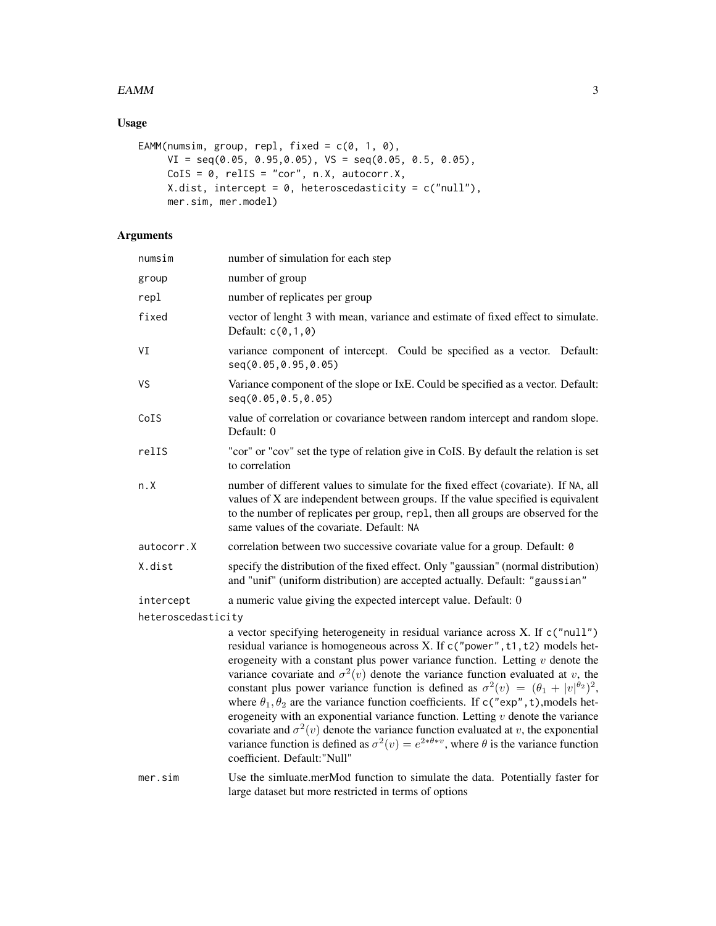#### $EAMM$  3

# Usage

```
EAMM(numsim, group, repl, fixed = c(0, 1, 0),
    VI = seq(0.05, 0.95, 0.05), VS = seq(0.05, 0.5, 0.05),CoIS = 0, relIS = "cor", n.X, autocorr.X,
    X.dist, intercept = 0, heteroscedasticity = c("null"),mer.sim, mer.model)
```
# Arguments

| numsim             | number of simulation for each step                                                                                                                                                                                                                                                                                                                                                                                                                                                                                                                                                                                                                                                                                                                                                                                                                                             |
|--------------------|--------------------------------------------------------------------------------------------------------------------------------------------------------------------------------------------------------------------------------------------------------------------------------------------------------------------------------------------------------------------------------------------------------------------------------------------------------------------------------------------------------------------------------------------------------------------------------------------------------------------------------------------------------------------------------------------------------------------------------------------------------------------------------------------------------------------------------------------------------------------------------|
| group              | number of group                                                                                                                                                                                                                                                                                                                                                                                                                                                                                                                                                                                                                                                                                                                                                                                                                                                                |
| repl               | number of replicates per group                                                                                                                                                                                                                                                                                                                                                                                                                                                                                                                                                                                                                                                                                                                                                                                                                                                 |
| fixed              | vector of lenght 3 with mean, variance and estimate of fixed effect to simulate.<br>Default: $c(0,1,0)$                                                                                                                                                                                                                                                                                                                                                                                                                                                                                                                                                                                                                                                                                                                                                                        |
| VI                 | variance component of intercept. Could be specified as a vector. Default:<br>seq(0.05,0.95,0.05)                                                                                                                                                                                                                                                                                                                                                                                                                                                                                                                                                                                                                                                                                                                                                                               |
| VS                 | Variance component of the slope or IxE. Could be specified as a vector. Default:<br>seq(0.05, 0.5, 0.05)                                                                                                                                                                                                                                                                                                                                                                                                                                                                                                                                                                                                                                                                                                                                                                       |
| CoIS               | value of correlation or covariance between random intercept and random slope.<br>Default: 0                                                                                                                                                                                                                                                                                                                                                                                                                                                                                                                                                                                                                                                                                                                                                                                    |
| relIS              | "cor" or "cov" set the type of relation give in CoIS. By default the relation is set<br>to correlation                                                                                                                                                                                                                                                                                                                                                                                                                                                                                                                                                                                                                                                                                                                                                                         |
| n.X                | number of different values to simulate for the fixed effect (covariate). If NA, all<br>values of X are independent between groups. If the value specified is equivalent<br>to the number of replicates per group, repl, then all groups are observed for the<br>same values of the covariate. Default: NA                                                                                                                                                                                                                                                                                                                                                                                                                                                                                                                                                                      |
| autocorr.X         | correlation between two successive covariate value for a group. Default: 0                                                                                                                                                                                                                                                                                                                                                                                                                                                                                                                                                                                                                                                                                                                                                                                                     |
| X.dist             | specify the distribution of the fixed effect. Only "gaussian" (normal distribution)<br>and "unif" (uniform distribution) are accepted actually. Default: "gaussian"                                                                                                                                                                                                                                                                                                                                                                                                                                                                                                                                                                                                                                                                                                            |
| intercept          | a numeric value giving the expected intercept value. Default: 0                                                                                                                                                                                                                                                                                                                                                                                                                                                                                                                                                                                                                                                                                                                                                                                                                |
| heteroscedasticity |                                                                                                                                                                                                                                                                                                                                                                                                                                                                                                                                                                                                                                                                                                                                                                                                                                                                                |
|                    | a vector specifying heterogeneity in residual variance across X. If c("null")<br>residual variance is homogeneous across X. If c("power", t1, t2) models het-<br>erogeneity with a constant plus power variance function. Letting $v$ denote the<br>variance covariate and $\sigma^2(v)$ denote the variance function evaluated at v, the<br>constant plus power variance function is defined as $\sigma^2(v) = (\theta_1 +  v ^{\theta_2})^2$ ,<br>where $\theta_1, \theta_2$ are the variance function coefficients. If c("exp", t), models het-<br>erogeneity with an exponential variance function. Letting $v$ denote the variance<br>covariate and $\sigma^2(v)$ denote the variance function evaluated at v, the exponential<br>variance function is defined as $\sigma^2(v) = e^{2*\theta*v}$ , where $\theta$ is the variance function<br>coefficient. Default:"Null" |
| mer.sim            | Use the simluate.merMod function to simulate the data. Potentially faster for<br>large dataset but more restricted in terms of options                                                                                                                                                                                                                                                                                                                                                                                                                                                                                                                                                                                                                                                                                                                                         |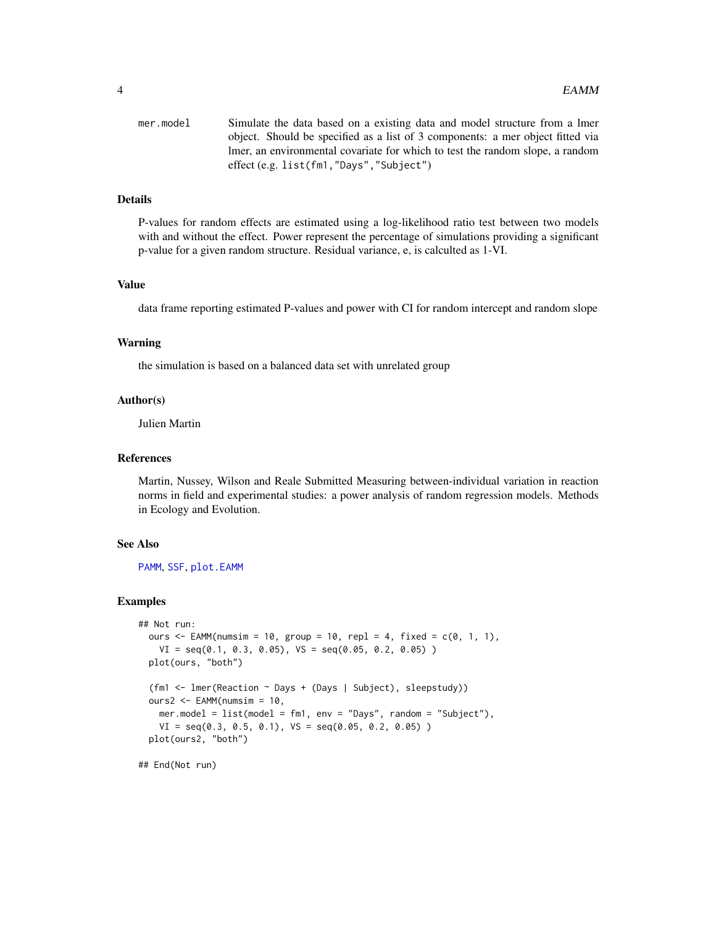<span id="page-3-0"></span>

| mer.model | Simulate the data based on a existing data and model structure from a lmer     |
|-----------|--------------------------------------------------------------------------------|
|           | object. Should be specified as a list of 3 components: a mer object fitted via |
|           | lmer, an environmental covariate for which to test the random slope, a random  |
|           | effect $(e.g. list(fm1," Days", "Subject")$                                    |

# Details

P-values for random effects are estimated using a log-likelihood ratio test between two models with and without the effect. Power represent the percentage of simulations providing a significant p-value for a given random structure. Residual variance, e, is calculted as 1-VI.

#### Value

data frame reporting estimated P-values and power with CI for random intercept and random slope

#### Warning

the simulation is based on a balanced data set with unrelated group

#### Author(s)

Julien Martin

#### References

Martin, Nussey, Wilson and Reale Submitted Measuring between-individual variation in reaction norms in field and experimental studies: a power analysis of random regression models. Methods in Ecology and Evolution.

#### See Also

[PAMM](#page-4-1), [SSF](#page-9-1), [plot.EAMM](#page-6-1)

#### Examples

```
## Not run:
 ours \leq EAMM(numsim = 10, group = 10, repl = 4, fixed = c(0, 1, 1),
   VI = seq(0.1, 0.3, 0.05), VS = seq(0.05, 0.2, 0.05) )
 plot(ours, "both")
 (fm1 <- lmer(Reaction ~ Days + (Days | Subject), sleepstudy))
 ours2 \leq EAMM(numsim = 10,
   mer.model = list(model = fm1, env = "Days", random = "Subject"),
   VI = seq(0.3, 0.5, 0.1), VS = seq(0.05, 0.2, 0.05) )plot(ours2, "both")
```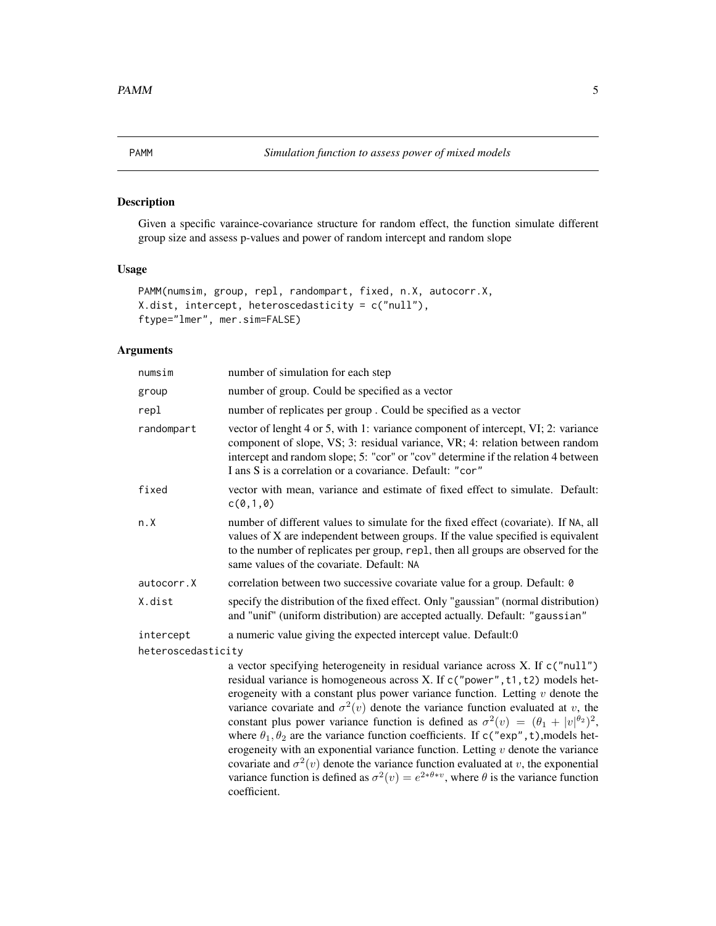<span id="page-4-1"></span><span id="page-4-0"></span>

Given a specific varaince-covariance structure for random effect, the function simulate different group size and assess p-values and power of random intercept and random slope

# Usage

```
PAMM(numsim, group, repl, randompart, fixed, n.X, autocorr.X,
X.dist, intercept, heteroscedasticity = c("null"),
ftype="lmer", mer.sim=FALSE)
```
#### Arguments

| numsim             | number of simulation for each step                                                                                                                                                                                                                                                                                 |
|--------------------|--------------------------------------------------------------------------------------------------------------------------------------------------------------------------------------------------------------------------------------------------------------------------------------------------------------------|
| group              | number of group. Could be specified as a vector                                                                                                                                                                                                                                                                    |
| repl               | number of replicates per group. Could be specified as a vector                                                                                                                                                                                                                                                     |
| randompart         | vector of lenght 4 or 5, with 1: variance component of intercept, VI; 2: variance<br>component of slope, VS; 3: residual variance, VR; 4: relation between random<br>intercept and random slope; 5: "cor" or "cov" determine if the relation 4 between<br>I ans S is a correlation or a covariance. Default: "cor" |
| fixed              | vector with mean, variance and estimate of fixed effect to simulate. Default:<br>c(0,1,0)                                                                                                                                                                                                                          |
| n.X                | number of different values to simulate for the fixed effect (covariate). If NA, all<br>values of X are independent between groups. If the value specified is equivalent<br>to the number of replicates per group, repl, then all groups are observed for the<br>same values of the covariate. Default: NA          |
| autocorr.X         | correlation between two successive covariate value for a group. Default: 0                                                                                                                                                                                                                                         |
| X.dist             | specify the distribution of the fixed effect. Only "gaussian" (normal distribution)<br>and "unif" (uniform distribution) are accepted actually. Default: "gaussian"                                                                                                                                                |
| intercept          | a numeric value giving the expected intercept value. Default:0                                                                                                                                                                                                                                                     |
| heteroscedasticity |                                                                                                                                                                                                                                                                                                                    |
|                    | a vector specifying heterogeneity in residual variance across X. If c("null")<br>residual variance is homogeneous across X. If c("power", t1, t2) models het-                                                                                                                                                      |

residual variance is homogeneous across X. If c("power",t1,t2) models heterogeneity with a constant plus power variance function. Letting  $v$  denote the variance covariate and  $\sigma^2(v)$  denote the variance function evaluated at v, the constant plus power variance function is defined as  $\sigma^2(v) = (\theta_1 + |v|^{\theta_2})^2$ , where  $\theta_1, \theta_2$  are the variance function coefficients. If c("exp", t), models heterogeneity with an exponential variance function. Letting  $v$  denote the variance covariate and  $\sigma^2(v)$  denote the variance function evaluated at v, the exponential variance function is defined as  $\sigma^2(v) = e^{2*\theta*v}$ , where  $\theta$  is the variance function coefficient.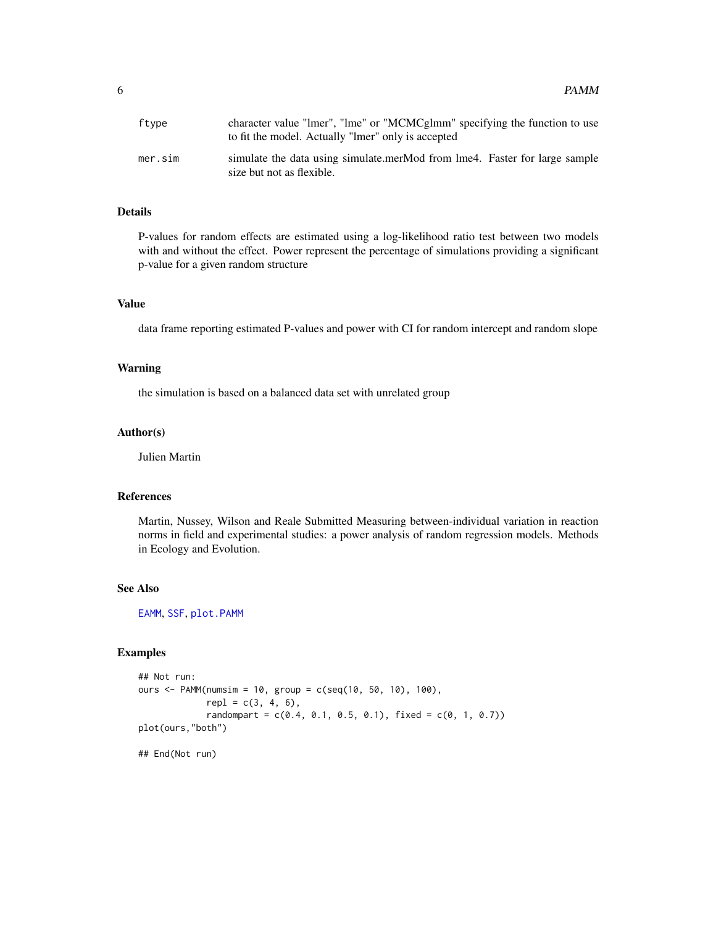<span id="page-5-0"></span>

| ftype   | character value "lmer", "lme" or "MCMCglmm" specifying the function to use<br>to fit the model. Actually "lmer" only is accepted |
|---------|----------------------------------------------------------------------------------------------------------------------------------|
| mer.sim | simulate the data using simulate.merMod from lme4. Faster for large sample<br>size but not as flexible.                          |

# Details

P-values for random effects are estimated using a log-likelihood ratio test between two models with and without the effect. Power represent the percentage of simulations providing a significant p-value for a given random structure

# Value

data frame reporting estimated P-values and power with CI for random intercept and random slope

#### Warning

the simulation is based on a balanced data set with unrelated group

#### Author(s)

Julien Martin

# References

Martin, Nussey, Wilson and Reale Submitted Measuring between-individual variation in reaction norms in field and experimental studies: a power analysis of random regression models. Methods in Ecology and Evolution.

#### See Also

[EAMM](#page-1-1), [SSF](#page-9-1), [plot.PAMM](#page-7-1)

#### Examples

```
## Not run:
ours <- PAMM(numsim = 10, group = c(seq(10, 50, 10), 100),
             rep1 = c(3, 4, 6),randompart = c(0.4, 0.1, 0.5, 0.1), fixed = c(0, 1, 0.7))
plot(ours,"both")
## End(Not run)
```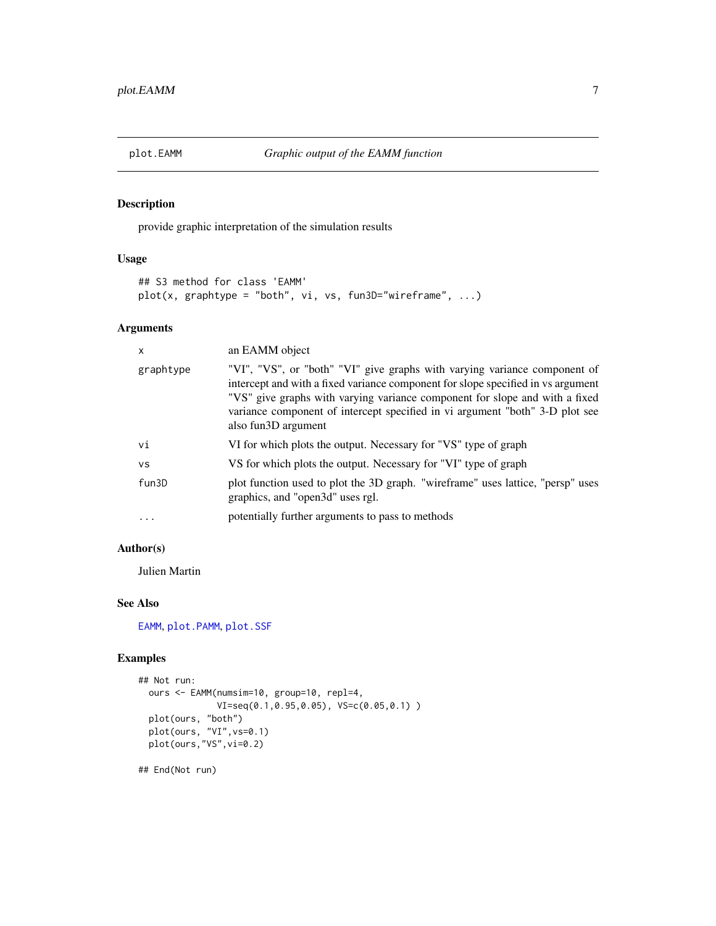<span id="page-6-1"></span><span id="page-6-0"></span>

provide graphic interpretation of the simulation results

# Usage

```
## S3 method for class 'EAMM'
plot(x, graphtype = "both", vi, vs, fun3D="wireframe", ...)
```
# Arguments

| X         | an EAMM object                                                                                                                                                                                                                                                                                                                                      |
|-----------|-----------------------------------------------------------------------------------------------------------------------------------------------------------------------------------------------------------------------------------------------------------------------------------------------------------------------------------------------------|
| graphtype | "VI", "VS", or "both" "VI" give graphs with varying variance component of<br>intercept and with a fixed variance component for slope specified in vs argument<br>"VS" give graphs with varying variance component for slope and with a fixed<br>variance component of intercept specified in vi argument "both" 3-D plot see<br>also fun3D argument |
| vi        | VI for which plots the output. Necessary for "VS" type of graph                                                                                                                                                                                                                                                                                     |
| <b>VS</b> | VS for which plots the output. Necessary for "VI" type of graph                                                                                                                                                                                                                                                                                     |
| fun3D     | plot function used to plot the 3D graph. "wireframe" uses lattice, "persp" uses<br>graphics, and "open3d" uses rgl.                                                                                                                                                                                                                                 |
| $\cdots$  | potentially further arguments to pass to methods                                                                                                                                                                                                                                                                                                    |

# Author(s)

Julien Martin

# See Also

[EAMM](#page-1-1), [plot.PAMM](#page-7-1), [plot.SSF](#page-8-1)

#### Examples

```
## Not run:
 ours <- EAMM(numsim=10, group=10, repl=4,
              VI=seq(0.1,0.95,0.05), VS=c(0.05,0.1) )
 plot(ours, "both")
 plot(ours, "VI",vs=0.1)
 plot(ours,"VS",vi=0.2)
```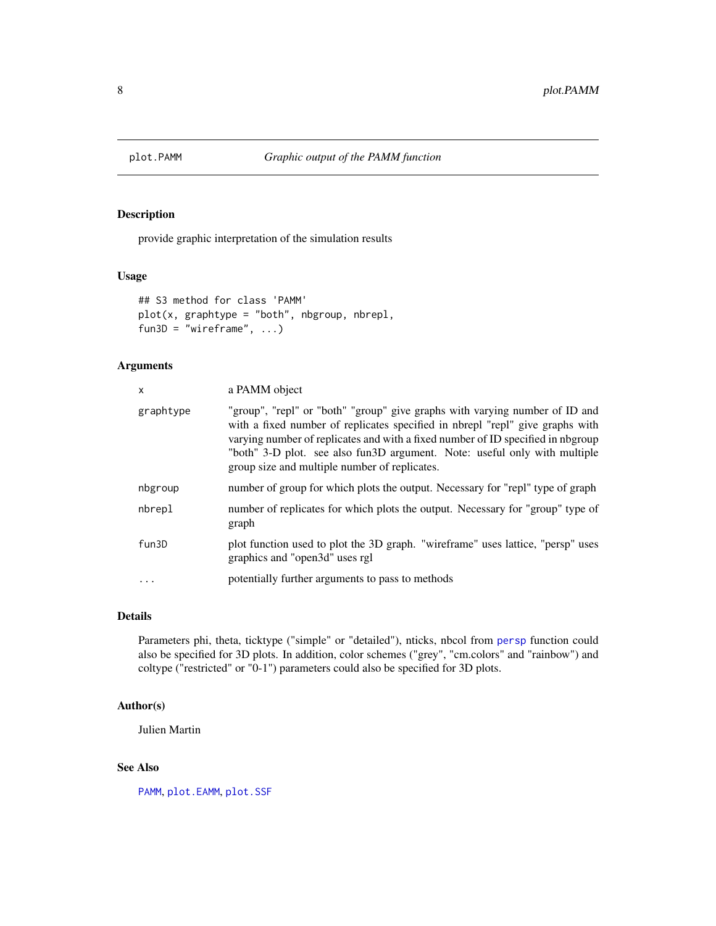<span id="page-7-1"></span><span id="page-7-0"></span>

provide graphic interpretation of the simulation results

# Usage

```
## S3 method for class 'PAMM'
plot(x, graphtype = "both", nbgroup, nbrepl,fun3D = "wireframe", \ldots)
```
# Arguments

| X         | a PAMM object                                                                                                                                                                                                                                                                                                                                                                 |
|-----------|-------------------------------------------------------------------------------------------------------------------------------------------------------------------------------------------------------------------------------------------------------------------------------------------------------------------------------------------------------------------------------|
| graphtype | "group", "repl" or "both" "group" give graphs with varying number of ID and<br>with a fixed number of replicates specified in nbrepl "repl" give graphs with<br>varying number of replicates and with a fixed number of ID specified in nbgroup<br>"both" 3-D plot. see also fun3D argument. Note: useful only with multiple<br>group size and multiple number of replicates. |
| nbgroup   | number of group for which plots the output. Necessary for "repl" type of graph                                                                                                                                                                                                                                                                                                |
| nbrepl    | number of replicates for which plots the output. Necessary for "group" type of<br>graph                                                                                                                                                                                                                                                                                       |
| fun3D     | plot function used to plot the 3D graph. "wireframe" uses lattice, "persp" uses<br>graphics and "open3d" uses rgl                                                                                                                                                                                                                                                             |
| $\ddotsc$ | potentially further arguments to pass to methods                                                                                                                                                                                                                                                                                                                              |

### Details

Parameters phi, theta, ticktype ("simple" or "detailed"), nticks, nbcol from [persp](#page-0-0) function could also be specified for 3D plots. In addition, color schemes ("grey", "cm.colors" and "rainbow") and coltype ("restricted" or "0-1") parameters could also be specified for 3D plots.

#### Author(s)

Julien Martin

#### See Also

[PAMM](#page-4-1), plot. EAMM, plot. SSF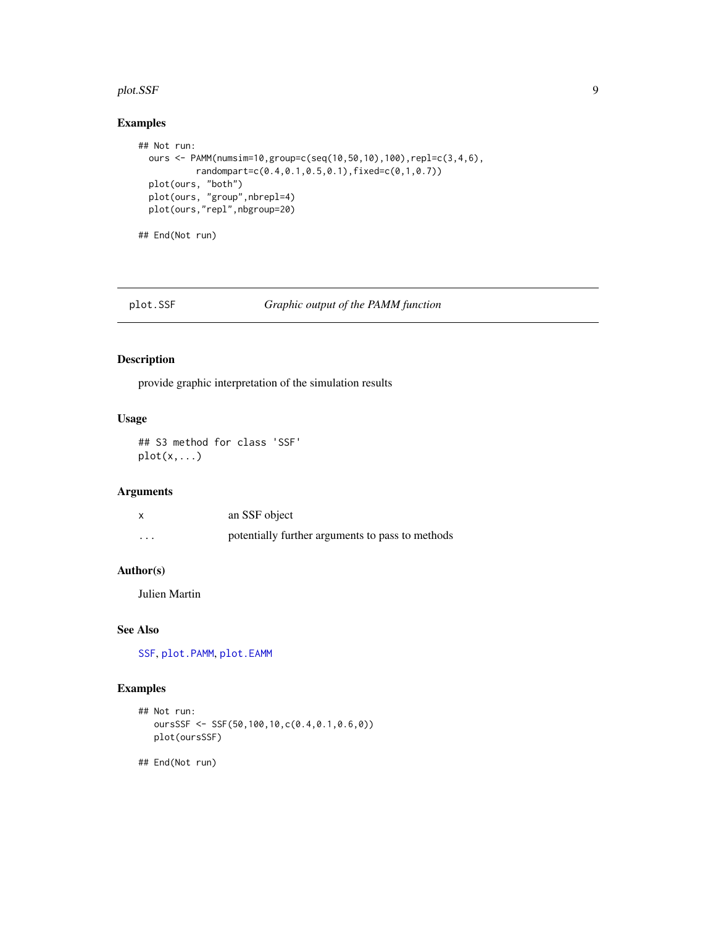#### <span id="page-8-0"></span>plot.SSF 9

# Examples

```
## Not run:
  ours <- PAMM(numsim=10,group=c(seq(10,50,10),100),repl=c(3,4,6),
          randompart=c(0.4,0.1,0.5,0.1),fixed=c(0,1,0.7))
  plot(ours, "both")
  plot(ours, "group",nbrepl=4)
  plot(ours,"repl",nbgroup=20)
```
## End(Not run)

#### <span id="page-8-1"></span>plot.SSF *Graphic output of the PAMM function*

# Description

provide graphic interpretation of the simulation results

# Usage

## S3 method for class 'SSF'  $plot(x,...)$ 

# Arguments

|         | an SSF object                                    |
|---------|--------------------------------------------------|
| $\cdot$ | potentially further arguments to pass to methods |

#### Author(s)

Julien Martin

### See Also

[SSF](#page-9-1), [plot.PAMM](#page-7-1), [plot.EAMM](#page-6-1)

# Examples

```
## Not run:
  oursSSF <- SSF(50,100,10,c(0.4,0.1,0.6,0))
  plot(oursSSF)
```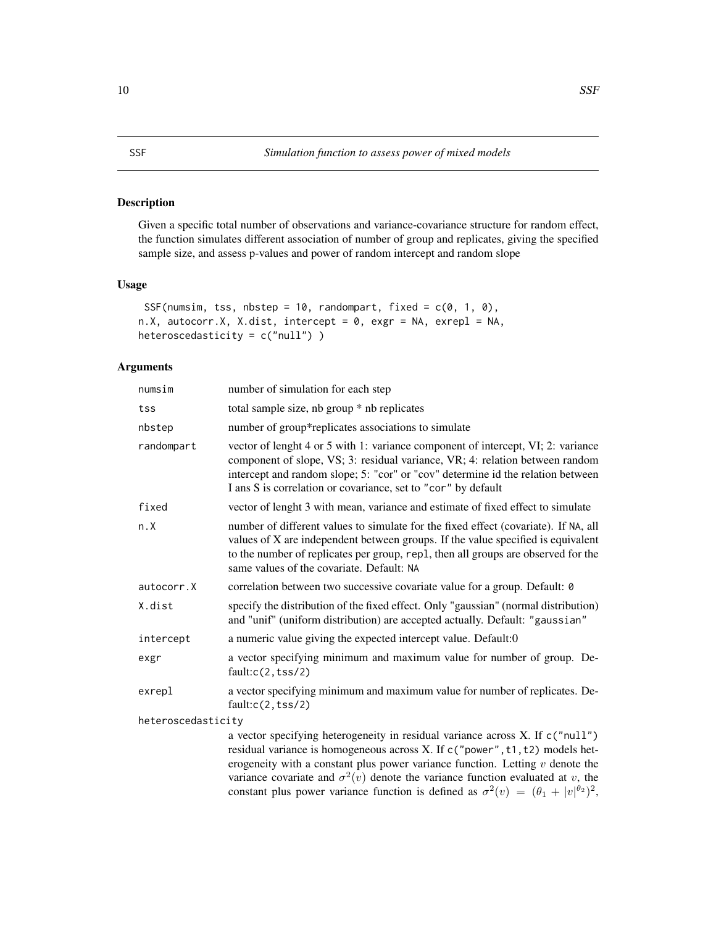<span id="page-9-1"></span><span id="page-9-0"></span>Given a specific total number of observations and variance-covariance structure for random effect, the function simulates different association of number of group and replicates, giving the specified sample size, and assess p-values and power of random intercept and random slope

#### Usage

```
SSF(numsim, tss, nbstep = 10, randompart, fixed = c(0, 1, 0),
n.X, autocorr.X, X.dist, intercept = 0, exgr = NA, exrepl = NA,
heteroscedasticity = c("null") )
```
# Arguments

| numsim             | number of simulation for each step                                                                                                                                                                                                                                                                                   |
|--------------------|----------------------------------------------------------------------------------------------------------------------------------------------------------------------------------------------------------------------------------------------------------------------------------------------------------------------|
| tss                | total sample size, nb group * nb replicates                                                                                                                                                                                                                                                                          |
| nbstep             | number of group*replicates associations to simulate                                                                                                                                                                                                                                                                  |
| randompart         | vector of lenght 4 or 5 with 1: variance component of intercept, VI; 2: variance<br>component of slope, VS; 3: residual variance, VR; 4: relation between random<br>intercept and random slope; 5: "cor" or "cov" determine id the relation between<br>I ans S is correlation or covariance, set to "cor" by default |
| fixed              | vector of lenght 3 with mean, variance and estimate of fixed effect to simulate                                                                                                                                                                                                                                      |
| n.X                | number of different values to simulate for the fixed effect (covariate). If NA, all<br>values of X are independent between groups. If the value specified is equivalent<br>to the number of replicates per group, rep1, then all groups are observed for the<br>same values of the covariate. Default: NA            |
| autocorr.X         | correlation between two successive covariate value for a group. Default: 0                                                                                                                                                                                                                                           |
| X.dist             | specify the distribution of the fixed effect. Only "gaussian" (normal distribution)<br>and "unif" (uniform distribution) are accepted actually. Default: "gaussian"                                                                                                                                                  |
| intercept          | a numeric value giving the expected intercept value. Default:0                                                                                                                                                                                                                                                       |
| exgr               | a vector specifying minimum and maximum value for number of group. De-<br>fault: c(2, tss/2)                                                                                                                                                                                                                         |
| exrepl             | a vector specifying minimum and maximum value for number of replicates. De-<br>fault: c(2, tss/2)                                                                                                                                                                                                                    |
| heteroscedasticity |                                                                                                                                                                                                                                                                                                                      |
|                    | a vector specifying heterogeneity in residual variance across X. If c("null")<br>residual variance is homogeneous across X. If c("power", t1, t2) models het-                                                                                                                                                        |

erogeneity with a constant plus power variance function. Letting  $v$  denote the variance covariate and  $\sigma^2(v)$  denote the variance function evaluated at v, the constant plus power variance function is defined as  $\sigma^2(v) = (\theta_1 + |v|^{\theta_2})^2$ ,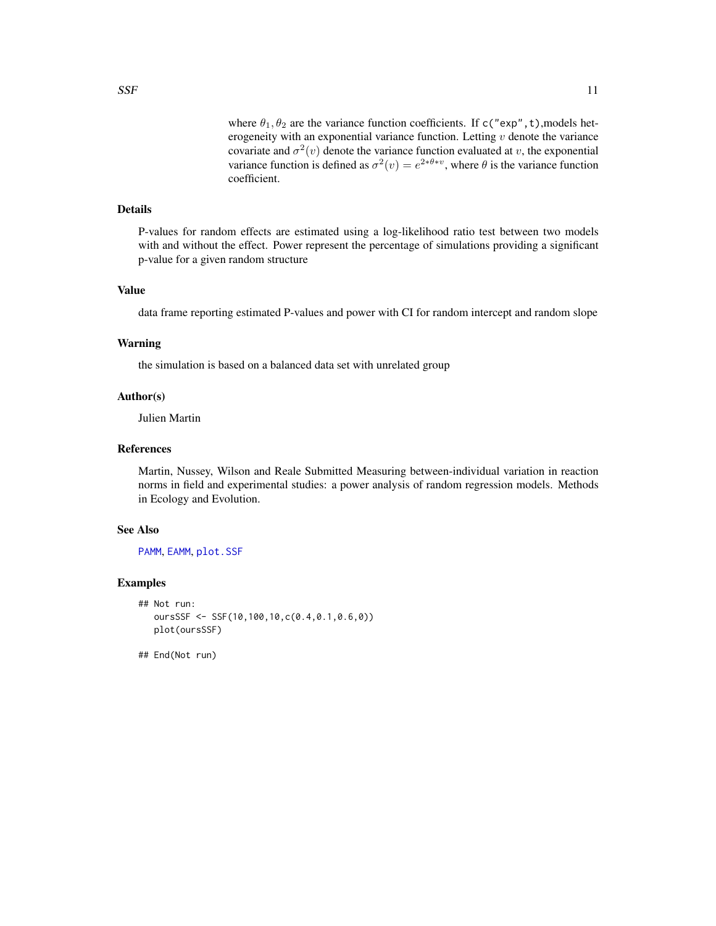<span id="page-10-0"></span>where  $\theta_1, \theta_2$  are the variance function coefficients. If c("exp", t), models heterogeneity with an exponential variance function. Letting  $v$  denote the variance covariate and  $\sigma^2(v)$  denote the variance function evaluated at v, the exponential variance function is defined as  $\sigma^2(v) = e^{2*\theta*v}$ , where  $\theta$  is the variance function coefficient.

#### Details

P-values for random effects are estimated using a log-likelihood ratio test between two models with and without the effect. Power represent the percentage of simulations providing a significant p-value for a given random structure

#### Value

data frame reporting estimated P-values and power with CI for random intercept and random slope

#### Warning

the simulation is based on a balanced data set with unrelated group

#### Author(s)

Julien Martin

# References

Martin, Nussey, Wilson and Reale Submitted Measuring between-individual variation in reaction norms in field and experimental studies: a power analysis of random regression models. Methods in Ecology and Evolution.

#### See Also

[PAMM](#page-4-1), [EAMM](#page-1-1), [plot.SSF](#page-8-1)

#### Examples

```
## Not run:
  oursSSF <- SSF(10,100,10,c(0.4,0.1,0.6,0))
  plot(oursSSF)
```